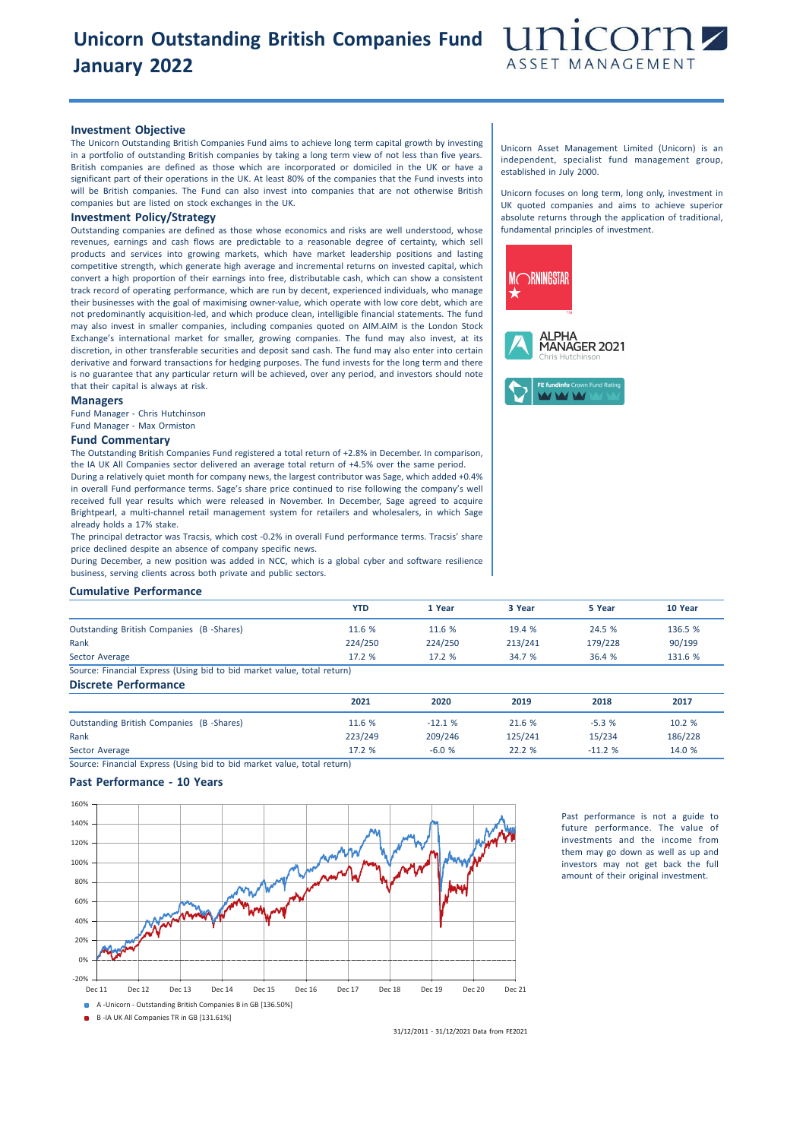## **Unicorn Outstanding British Companies Fund January 2022**



### **Investment Objective**

The Unicorn Outstanding British Companies Fund aims to achieve long term capital growth by investing in a portfolio of outstanding British companies by taking a long term view of not less than five years. British companies are defined as those which are incorporated or domiciled in the UK or have a significant part of their operations in the UK. At least 80% of the companies that the Fund invests into will be British companies. The Fund can also invest into companies that are not otherwise British companies but are listed on stock exchanges in the UK.

## **Investment Policy/Strategy**

Outstanding companies are defined as those whose economics and risks are well understood, whose revenues, earnings and cash flows are predictable to a reasonable degree of certainty, which sell products and services into growing markets, which have market leadership positions and lasting competitive strength, which generate high average and incremental returns on invested capital, which convert a high proportion of their earnings into free, distributable cash, which can show a consistent track record of operating performance, which are run by decent, experienced individuals, who manage their businesses with the goal of maximising owner-value, which operate with low core debt, which are not predominantly acquisition-led, and which produce clean, intelligible financial statements. The fund may also invest in smaller companies, including companies quoted on AIM.AIM is the London Stock Exchange's international market for smaller, growing companies. The fund may also invest, at its discretion, in other transferable securities and deposit sand cash. The fund may also enter into certain derivative and forward transactions for hedging purposes. The fund invests for the long term and there is no guarantee that any particular return will be achieved, over any period, and investors should note that their capital is always at risk.

#### **Managers**

Fund Manager - Chris Hutchinson Fund Manager - Max Ormiston

## **Fund Commentary**

The Outstanding British Companies Fund registered a total return of +2.8% in December. In comparison, the IA UK All Companies sector delivered an average total return of +4.5% over the same period. During a relatively quiet month for company news, the largest contributor was Sage, which added +0.4% in overall Fund performance terms. Sage's share price continued to rise following the company's well received full year results which were released in November. In December, Sage agreed to acquire Brightpearl, a multi-channel retail management system for retailers and wholesalers, in which Sage already holds a 17% stake.

The principal detractor was Tracsis, which cost -0.2% in overall Fund performance terms. Tracsis' share price declined despite an absence of company specific news.

During December, a new position was added in NCC, which is a global cyber and software resilience business, serving clients across both private and public sectors.

### **Cumulative Performance**

|                                                                         | <b>YTD</b> | 1 Year  | 3 Year  | 5 Year  | 10 Year |
|-------------------------------------------------------------------------|------------|---------|---------|---------|---------|
| Outstanding British Companies (B -Shares)                               | 11.6 %     | 11.6 %  | 19.4 %  | 24.5 %  | 136.5 % |
| Rank                                                                    | 224/250    | 224/250 | 213/241 | 179/228 | 90/199  |
| Sector Average                                                          | 17.2%      | 17.2%   | 34.7 %  | 36.4 %  | 131.6 % |
| Source: Financial Express (Using bid to bid market value, total return) |            |         |         |         |         |

**Discrete Performance**

|                                                 | 2021    | 2020     | 2019    | 2018     | 2017    |
|-------------------------------------------------|---------|----------|---------|----------|---------|
| <b>Outstanding British Companies (B-Shares)</b> | 11.6 %  | $-12.1%$ | 21.6 %  | $-5.3%$  | 10.2 %  |
| Rank                                            | 223/249 | 209/246  | 125/241 | 15/234   | 186/228 |
| Sector Average                                  | 17.2 %  | $-6.0%$  | 22.2 %  | $-11.2%$ | 14.0 %  |

Source: Financial Express (Using bid to bid market value, total return)

## **Past Performance - 10 Years**



Past performance is not a guide to future performance. The value of investments and the income from them may go down as well as up and investors may not get back the full amount of their original investment.

Unicorn Asset Management Limited (Unicorn) is an independent, specialist fund management group, established in July 2000.

Unicorn focuses on long term, long only, investment in UK quoted companies and aims to achieve superior absolute returns through the application of traditional, fundamental principles of investment.



31/12/2011 - 31/12/2021 Data from FE2021